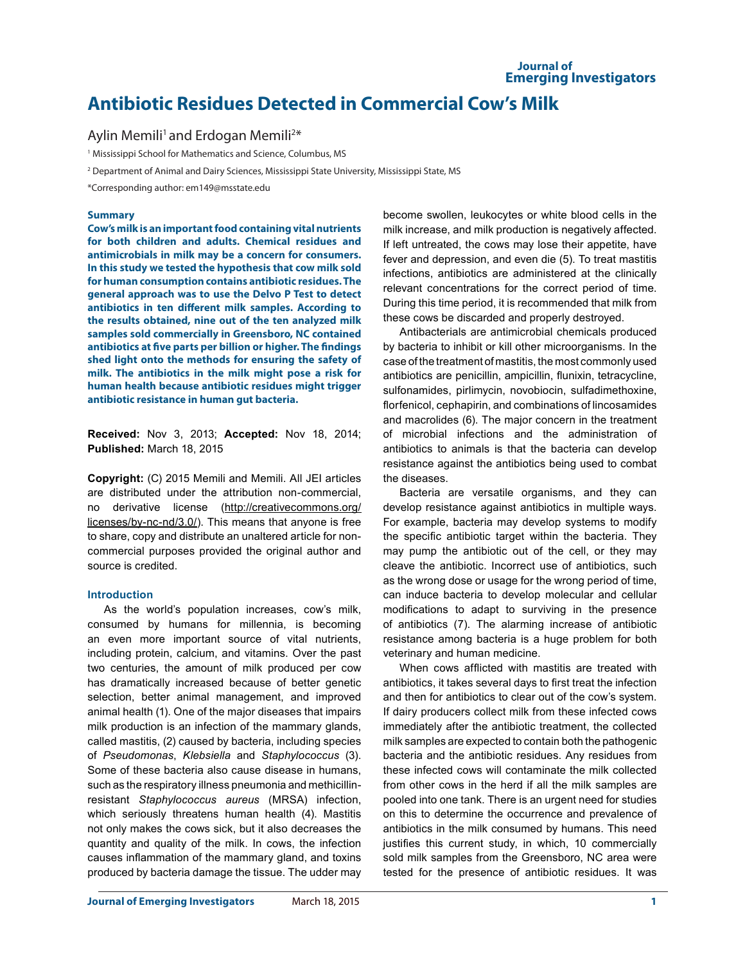# **Antibiotic Residues Detected in Commercial Cow's Milk**

# Aylin Memili<sup>1</sup> and Erdogan Memili<sup>2\*</sup>

<sup>1</sup> Mississippi School for Mathematics and Science, Columbus, MS

2 Department of Animal and Dairy Sciences, Mississippi State University, Mississippi State, MS

\*Corresponding author: em149@msstate.edu

#### **Summary**

**Cow's milk is an important food containing vital nutrients for both children and adults. Chemical residues and antimicrobials in milk may be a concern for consumers. In this study we tested the hypothesis that cow milk sold for human consumption contains antibiotic residues. The general approach was to use the Delvo P Test to detect antibiotics in ten different milk samples. According to the results obtained, nine out of the ten analyzed milk samples sold commercially in Greensboro, NC contained antibiotics at five parts per billion or higher. The findings shed light onto the methods for ensuring the safety of milk. The antibiotics in the milk might pose a risk for human health because antibiotic residues might trigger antibiotic resistance in human gut bacteria.** 

**Received:** Nov 3, 2013; **Accepted:** Nov 18, 2014; **Published:** March 18, 2015

**Copyright:** (C) 2015 Memili and Memili. All JEI articles are distributed under the attribution non-commercial, no derivative license (http://creativecommons.org/ licenses/by-nc-nd/3.0/). This means that anyone is free to share, copy and distribute an unaltered article for noncommercial purposes provided the original author and source is credited.

#### **Introduction**

As the world's population increases, cow's milk, consumed by humans for millennia, is becoming an even more important source of vital nutrients, including protein, calcium, and vitamins. Over the past two centuries, the amount of milk produced per cow has dramatically increased because of better genetic selection, better animal management, and improved animal health (1). One of the major diseases that impairs milk production is an infection of the mammary glands, called mastitis, (2) caused by bacteria, including species of *Pseudomonas*, *Klebsiella* and *Staphylococcus* (3). Some of these bacteria also cause disease in humans, such as the respiratory illness pneumonia and methicillinresistant *Staphylococcus aureus* (MRSA) infection, which seriously threatens human health (4). Mastitis not only makes the cows sick, but it also decreases the quantity and quality of the milk. In cows, the infection causes inflammation of the mammary gland, and toxins produced by bacteria damage the tissue. The udder may become swollen, leukocytes or white blood cells in the milk increase, and milk production is negatively affected. If left untreated, the cows may lose their appetite, have fever and depression, and even die (5). To treat mastitis infections, antibiotics are administered at the clinically relevant concentrations for the correct period of time. During this time period, it is recommended that milk from these cows be discarded and properly destroyed.

Antibacterials are antimicrobial chemicals produced by bacteria to inhibit or kill other microorganisms. In the case of the treatment of mastitis, the most commonly used antibiotics are penicillin, ampicillin, flunixin, tetracycline, sulfonamides, pirlimycin, novobiocin, sulfadimethoxine, florfenicol, cephapirin, and combinations of lincosamides and macrolides (6). The major concern in the treatment of microbial infections and the administration of antibiotics to animals is that the bacteria can develop resistance against the antibiotics being used to combat the diseases.

Bacteria are versatile organisms, and they can develop resistance against antibiotics in multiple ways. For example, bacteria may develop systems to modify the specific antibiotic target within the bacteria. They may pump the antibiotic out of the cell, or they may cleave the antibiotic. Incorrect use of antibiotics, such as the wrong dose or usage for the wrong period of time, can induce bacteria to develop molecular and cellular modifications to adapt to surviving in the presence of antibiotics (7). The alarming increase of antibiotic resistance among bacteria is a huge problem for both veterinary and human medicine.

When cows afflicted with mastitis are treated with antibiotics, it takes several days to first treat the infection and then for antibiotics to clear out of the cow's system. If dairy producers collect milk from these infected cows immediately after the antibiotic treatment, the collected milk samples are expected to contain both the pathogenic bacteria and the antibiotic residues. Any residues from these infected cows will contaminate the milk collected from other cows in the herd if all the milk samples are pooled into one tank. There is an urgent need for studies on this to determine the occurrence and prevalence of antibiotics in the milk consumed by humans. This need justifies this current study, in which, 10 commercially sold milk samples from the Greensboro, NC area were tested for the presence of antibiotic residues. It was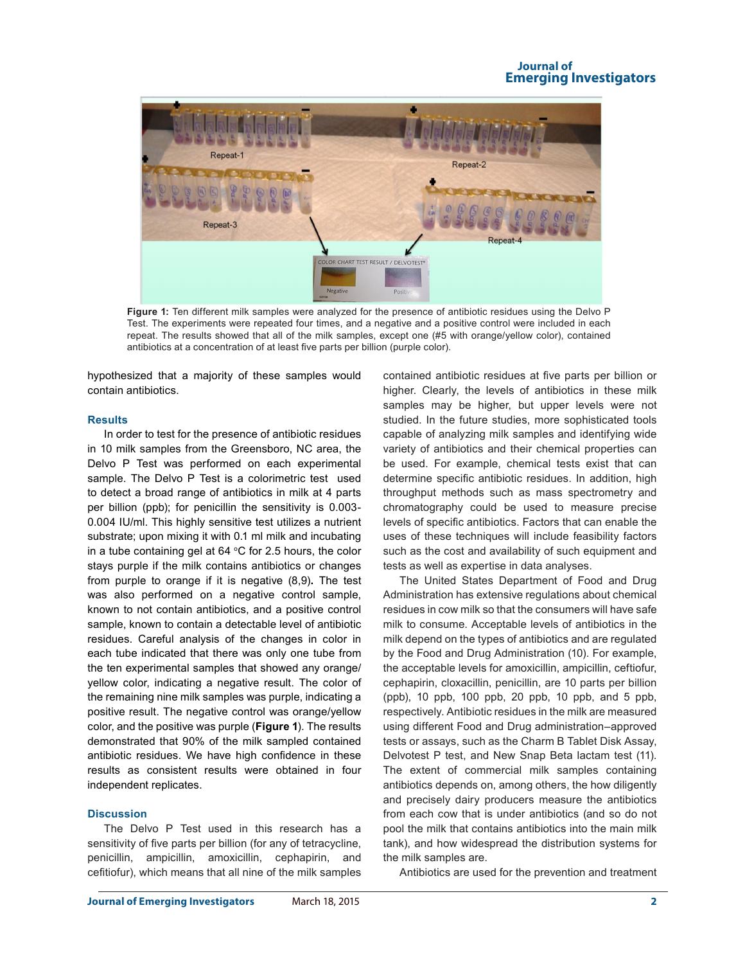#### **Journal of Emerging Investigators**



**Figure 1:** Ten different milk samples were analyzed for the presence of antibiotic residues using the Delvo P Test. The experiments were repeated four times, and a negative and a positive control were included in each repeat. The results showed that all of the milk samples, except one (#5 with orange/yellow color), contained antibiotics at a concentration of at least five parts per billion (purple color).

hypothesized that a majority of these samples would contain antibiotics.

#### **Results**

In order to test for the presence of antibiotic residues in 10 milk samples from the Greensboro, NC area, the Delvo P Test was performed on each experimental sample. The Delvo P Test is a colorimetric test used to detect a broad range of antibiotics in milk at 4 parts per billion (ppb); for penicillin the sensitivity is 0.003- 0.004 IU/ml. This highly sensitive test utilizes a nutrient substrate; upon mixing it with 0.1 ml milk and incubating in a tube containing gel at  $64 \text{ °C}$  for 2.5 hours, the color stays purple if the milk contains antibiotics or changes from purple to orange if it is negative (8,9)**.** The test was also performed on a negative control sample, known to not contain antibiotics, and a positive control sample, known to contain a detectable level of antibiotic residues. Careful analysis of the changes in color in each tube indicated that there was only one tube from the ten experimental samples that showed any orange/ yellow color, indicating a negative result. The color of the remaining nine milk samples was purple, indicating a positive result. The negative control was orange/yellow color, and the positive was purple (**Figure 1**). The results demonstrated that 90% of the milk sampled contained antibiotic residues. We have high confidence in these results as consistent results were obtained in four independent replicates.

#### **Discussion**

The Delvo P Test used in this research has a sensitivity of five parts per billion (for any of tetracycline, penicillin, ampicillin, amoxicillin, cephapirin, and cefitiofur), which means that all nine of the milk samples

**Journal of Emerging Investigators** March 18, 2015 **2**

contained antibiotic residues at five parts per billion or higher. Clearly, the levels of antibiotics in these milk samples may be higher, but upper levels were not studied. In the future studies, more sophisticated tools capable of analyzing milk samples and identifying wide variety of antibiotics and their chemical properties can be used. For example, chemical tests exist that can determine specific antibiotic residues. In addition, high throughput methods such as mass spectrometry and chromatography could be used to measure precise levels of specific antibiotics. Factors that can enable the uses of these techniques will include feasibility factors such as the cost and availability of such equipment and tests as well as expertise in data analyses.

The United States Department of Food and Drug Administration has extensive regulations about chemical residues in cow milk so that the consumers will have safe milk to consume. Acceptable levels of antibiotics in the milk depend on the types of antibiotics and are regulated by the Food and Drug Administration (10). For example, the acceptable levels for amoxicillin, ampicillin, ceftiofur, cephapirin, cloxacillin, penicillin, are 10 parts per billion (ppb), 10 ppb, 100 ppb, 20 ppb, 10 ppb, and 5 ppb, respectively. Antibiotic residues in the milk are measured using different Food and Drug administration–approved tests or assays, such as the Charm B Tablet Disk Assay, Delvotest P test, and New Snap Beta lactam test (11). The extent of commercial milk samples containing antibiotics depends on, among others, the how diligently and precisely dairy producers measure the antibiotics from each cow that is under antibiotics (and so do not pool the milk that contains antibiotics into the main milk tank), and how widespread the distribution systems for the milk samples are.

Antibiotics are used for the prevention and treatment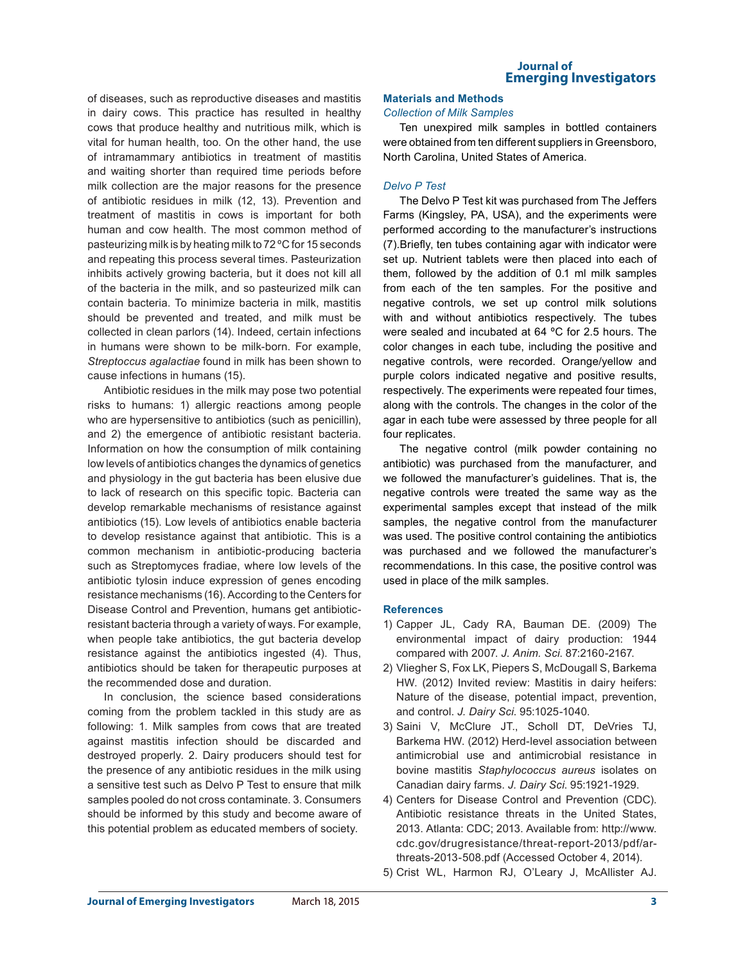of diseases, such as reproductive diseases and mastitis in dairy cows. This practice has resulted in healthy cows that produce healthy and nutritious milk, which is vital for human health, too. On the other hand, the use of intramammary antibiotics in treatment of mastitis and waiting shorter than required time periods before milk collection are the major reasons for the presence of antibiotic residues in milk (12, 13). Prevention and treatment of mastitis in cows is important for both human and cow health. The most common method of pasteurizing milk is by heating milk to 72 ºC for 15 seconds and repeating this process several times. Pasteurization inhibits actively growing bacteria, but it does not kill all of the bacteria in the milk, and so pasteurized milk can contain bacteria. To minimize bacteria in milk, mastitis should be prevented and treated, and milk must be collected in clean parlors (14). Indeed, certain infections in humans were shown to be milk-born. For example, *Streptoccus agalactiae* found in milk has been shown to cause infections in humans (15).

Antibiotic residues in the milk may pose two potential risks to humans: 1) allergic reactions among people who are hypersensitive to antibiotics (such as penicillin), and 2) the emergence of antibiotic resistant bacteria. Information on how the consumption of milk containing low levels of antibiotics changes the dynamics of genetics and physiology in the gut bacteria has been elusive due to lack of research on this specific topic. Bacteria can develop remarkable mechanisms of resistance against antibiotics (15). Low levels of antibiotics enable bacteria to develop resistance against that antibiotic. This is a common mechanism in antibiotic-producing bacteria such as Streptomyces fradiae, where low levels of the antibiotic tylosin induce expression of genes encoding resistance mechanisms (16). According to the Centers for Disease Control and Prevention, humans get antibioticresistant bacteria through a variety of ways. For example, when people take antibiotics, the gut bacteria develop resistance against the antibiotics ingested (4). Thus, antibiotics should be taken for therapeutic purposes at the recommended dose and duration.

In conclusion, the science based considerations coming from the problem tackled in this study are as following: 1. Milk samples from cows that are treated against mastitis infection should be discarded and destroyed properly. 2. Dairy producers should test for the presence of any antibiotic residues in the milk using a sensitive test such as Delvo P Test to ensure that milk samples pooled do not cross contaminate. 3. Consumers should be informed by this study and become aware of this potential problem as educated members of society.

#### **Journal of Emerging Investigators**

# **Materials and Methods**

# *Collection of Milk Samples*

Ten unexpired milk samples in bottled containers were obtained from ten different suppliers in Greensboro, North Carolina, United States of America.

### *Delvo P Test*

The Delvo P Test kit was purchased from The Jeffers Farms (Kingsley, PA, USA), and the experiments were performed according to the manufacturer's instructions (7).Briefly, ten tubes containing agar with indicator were set up. Nutrient tablets were then placed into each of them, followed by the addition of 0.1 ml milk samples from each of the ten samples. For the positive and negative controls, we set up control milk solutions with and without antibiotics respectively. The tubes were sealed and incubated at 64 ºC for 2.5 hours. The color changes in each tube, including the positive and negative controls, were recorded. Orange/yellow and purple colors indicated negative and positive results, respectively. The experiments were repeated four times, along with the controls. The changes in the color of the agar in each tube were assessed by three people for all four replicates.

The negative control (milk powder containing no antibiotic) was purchased from the manufacturer, and we followed the manufacturer's guidelines. That is, the negative controls were treated the same way as the experimental samples except that instead of the milk samples, the negative control from the manufacturer was used. The positive control containing the antibiotics was purchased and we followed the manufacturer's recommendations. In this case, the positive control was used in place of the milk samples.

# **References**

- 1) Capper JL, Cady RA, Bauman DE. (2009) The environmental impact of dairy production: 1944 compared with 2007. *J. Anim. Sci*. 87:2160-2167.
- 2) Vliegher S, Fox LK, Piepers S, McDougall S, Barkema HW. (2012) Invited review: Mastitis in dairy heifers: Nature of the disease, potential impact, prevention, and control. *J. Dairy Sci*. 95:1025-1040.
- 3) Saini V, McClure JT., Scholl DT, DeVries TJ, Barkema HW. (2012) Herd-level association between antimicrobial use and antimicrobial resistance in bovine mastitis *Staphylococcus aureus* isolates on Canadian dairy farms. *J. Dairy Sci*. 95:1921-1929.
- 4) Centers for Disease Control and Prevention (CDC). Antibiotic resistance threats in the United States, 2013. Atlanta: CDC; 2013. Available from: http://www. cdc.gov/drugresistance/threat-report-2013/pdf/arthreats-2013-508.pdf (Accessed October 4, 2014).
- 5) Crist WL, Harmon RJ, O'Leary J, McAllister AJ.